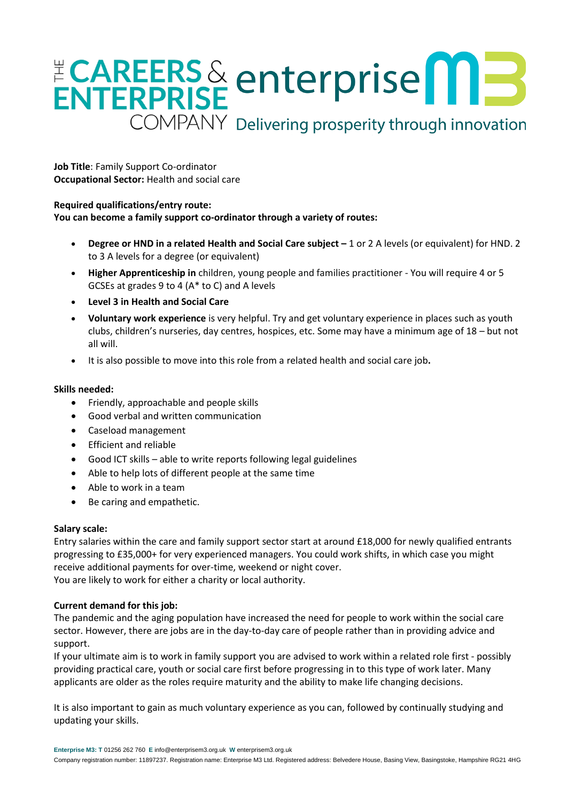# ENTERPRISE enterprise<sup>nt</sup> COMPANY Delivering prosperity through innovation

**Job Title**: Family Support Co-ordinator **Occupational Sector:** Health and social care

## **Required qualifications/entry route:**

**You can become a family support co-ordinator through a variety of routes:**

- **Degree or HND in a related Health and Social Care subject –** 1 or 2 A levels (or equivalent) for HND. 2 to 3 A levels for a degree (or equivalent)
- **Higher Apprenticeship in** children, young people and families practitioner You will require 4 or 5 GCSEs at grades 9 to 4 (A\* to C) and A levels
- **Level 3 in Health and Social Care**
- **Voluntary work experience** is very helpful. Try and get voluntary experience in places such as youth clubs, children's nurseries, day centres, hospices, etc. Some may have a minimum age of 18 – but not all will.
- It is also possible to move into this role from a related health and social care job**.**

## **Skills needed:**

- Friendly, approachable and people skills
- Good verbal and written communication
- Caseload management
- Efficient and reliable
- Good ICT skills able to write reports following legal guidelines
- Able to help lots of different people at the same time
- Able to work in a team
- Be caring and empathetic.

## **Salary scale:**

Entry salaries within the care and family support sector start at around £18,000 for newly qualified entrants progressing to £35,000+ for very experienced managers. You could work shifts, in which case you might receive additional payments for over-time, weekend or night cover. You are likely to work for either a charity or local authority.

## **Current demand for this job:**

The pandemic and the aging population have increased the need for people to work within the social care sector. However, there are jobs are in the day-to-day care of people rather than in providing advice and support.

If your ultimate aim is to work in family support you are advised to work within a related role first - possibly providing practical care, youth or social care first before progressing in to this type of work later. Many applicants are older as the roles require maturity and the ability to make life changing decisions.

It is also important to gain as much voluntary experience as you can, followed by continually studying and updating your skills.

**Enterprise M3: T** 01256 262 760 **E** [info@enterprisem3.org.uk](mailto:info@enterprisem3.org.uk) **W** enterprisem3.org.uk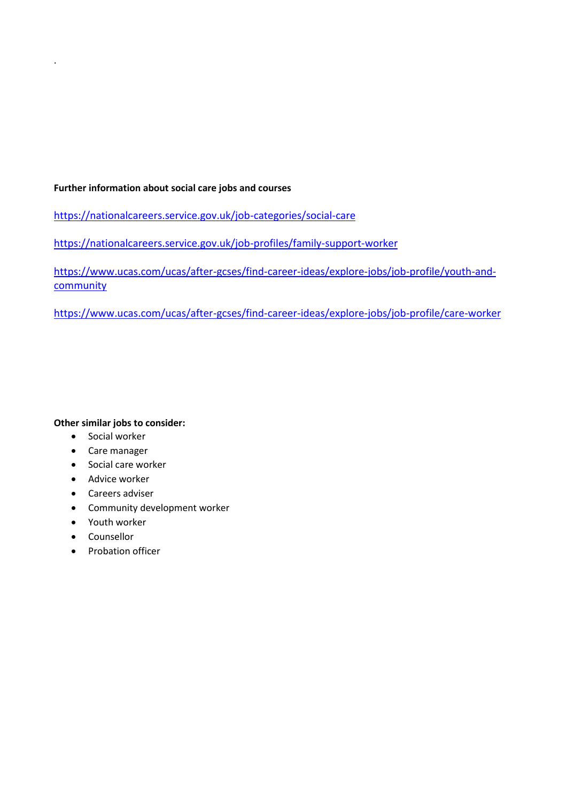## **Further information about social care jobs and courses**

<https://nationalcareers.service.gov.uk/job-categories/social-care>

<https://nationalcareers.service.gov.uk/job-profiles/family-support-worker>

[https://www.ucas.com/ucas/after-gcses/find-career-ideas/explore-jobs/job-profile/youth-and](https://www.ucas.com/ucas/after-gcses/find-career-ideas/explore-jobs/job-profile/youth-and-community)[community](https://www.ucas.com/ucas/after-gcses/find-career-ideas/explore-jobs/job-profile/youth-and-community)

<https://www.ucas.com/ucas/after-gcses/find-career-ideas/explore-jobs/job-profile/care-worker>

## **Other similar jobs to consider:**

• Social worker

.

- Care manager
- Social care worker
- Advice worker
- Careers adviser
- Community development worker
- Youth worker
- Counsellor
- Probation officer